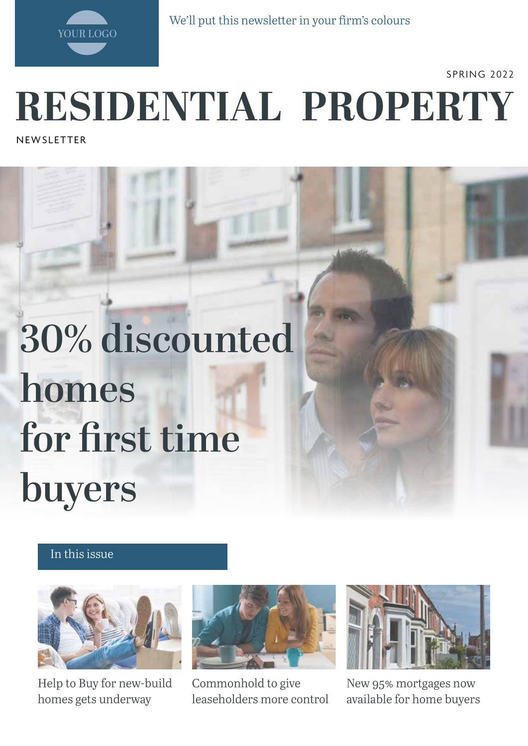

We'll put this newsletter in your firm's colours

SPRING 2022

# **RESIDENTIAL PROPERTY**

**NEWSLETTER** 

# **30% discounted homes for first time buyers**

#### In this issue



Help to Buy for new-build homes gets underway



Commonhold to give leaseholders more control



New 95% mortgages now available for home buyers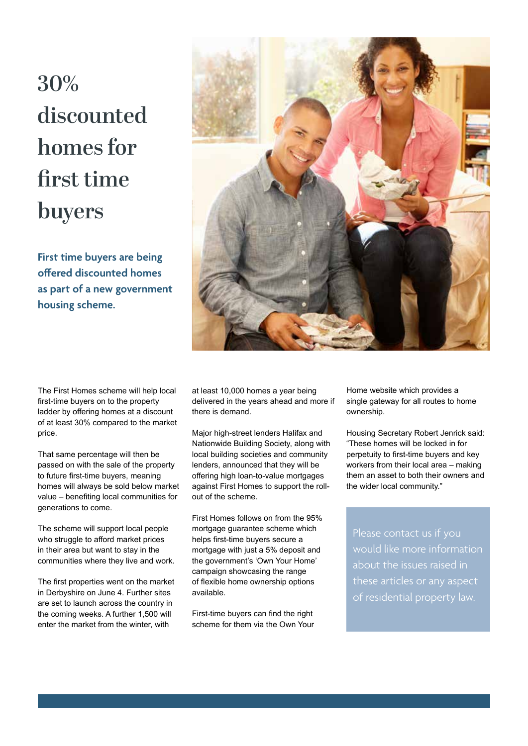## **30% discounted homes for first time buyers**

**First time buyers are being offered discounted homes as part of a new government housing scheme.**



The First Homes scheme will help local first-time buyers on to the property ladder by offering homes at a discount of at least 30% compared to the market price.

That same percentage will then be passed on with the sale of the property to future first-time buyers, meaning homes will always be sold below market value – benefiting local communities for generations to come.

The scheme will support local people who struggle to afford market prices in their area but want to stay in the communities where they live and work.

The first properties went on the market in Derbyshire on June 4. Further sites are set to launch across the country in the coming weeks. A further 1,500 will enter the market from the winter, with

at least 10,000 homes a year being delivered in the years ahead and more if there is demand.

Major high-street lenders Halifax and Nationwide Building Society, along with local building societies and community lenders, announced that they will be offering high loan-to-value mortgages against First Homes to support the rollout of the scheme.

First Homes follows on from the 95% mortgage guarantee scheme which helps first-time buyers secure a mortgage with just a 5% deposit and the government's 'Own Your Home' campaign showcasing the range of flexible home ownership options available.

First-time buyers can find the right scheme for them via the Own Your Home website which provides a single gateway for all routes to home ownership.

Housing Secretary Robert Jenrick said: "These homes will be locked in for perpetuity to first-time buyers and key workers from their local area – making them an asset to both their owners and the wider local community."

would like more information about the issues raised in these articles or any aspect of residential property law.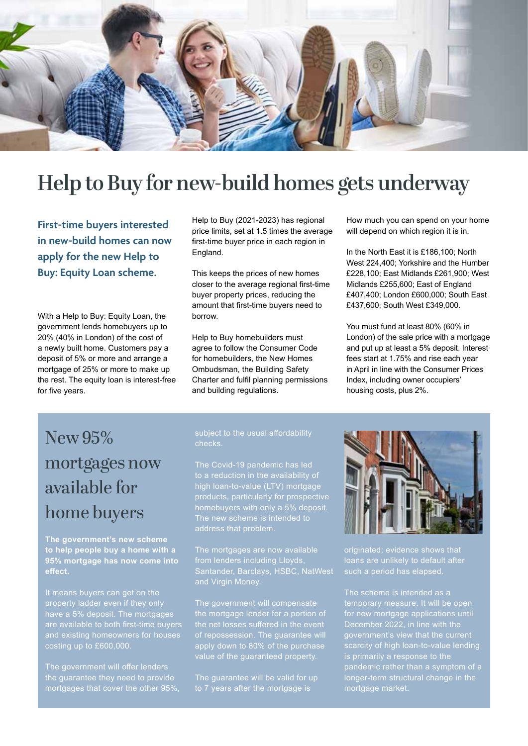

### **Help to Buy for new-build homes gets underway**

**First-time buyers interested in new-build homes can now apply for the new Help to Buy: Equity Loan scheme.** 

With a Help to Buy: Equity Loan, the government lends homebuyers up to 20% (40% in London) of the cost of a newly built home. Customers pay a deposit of 5% or more and arrange a mortgage of 25% or more to make up the rest. The equity loan is interest-free for five years.

Help to Buy (2021-2023) has regional price limits, set at 1.5 times the average first-time buyer price in each region in England.

This keeps the prices of new homes closer to the average regional first-time buyer property prices, reducing the amount that first-time buyers need to borrow.

Help to Buy homebuilders must agree to follow the Consumer Code for homebuilders, the New Homes Ombudsman, the Building Safety Charter and fulfil planning permissions and building regulations.

How much you can spend on your home will depend on which region it is in.

In the North East it is £186,100; North West 224,400; Yorkshire and the Humber £228,100; East Midlands £261,900; West Midlands £255,600; East of England £407,400; London £600,000; South East £437,600; South West £349,000.

You must fund at least 80% (60% in London) of the sale price with a mortgage and put up at least a 5% deposit. Interest fees start at 1.75% and rise each year in April in line with the Consumer Prices Index, including owner occupiers' housing costs, plus 2%.

## New 95% mortgages now available for home buyers

**The government's new scheme to help people buy a home with a 95% mortgage has now come into effect.** 

It means buyers can get on the have a 5% deposit. The mortgages are available to both first-time buyers costing up to £600,000.

The government will offer lenders the guarantee they need to provide mortgages that cover the other 95%,

### checks.

The Covid-19 pandemic has led high loan-to-value (LTV) mortgage products, particularly for prospective homebuyers with only a 5% deposit.

The mortgages are now available from lenders including Lloyds, Santander, Barclays, HSBC, NatWest and Virgin Money.

The government will compensate the mortgage lender for a portion of apply down to 80% of the purchase value of the guaranteed property.

The guarantee will be valid for up to 7 years after the mortgage is



originated; evidence shows that loans are unlikely to default after such a period has elapsed.

for new mortgage applications until December 2022, in line with the government's view that the current scarcity of high loan-to-value lending pandemic rather than a symptom of a longer-term structural change in the mortgage market.